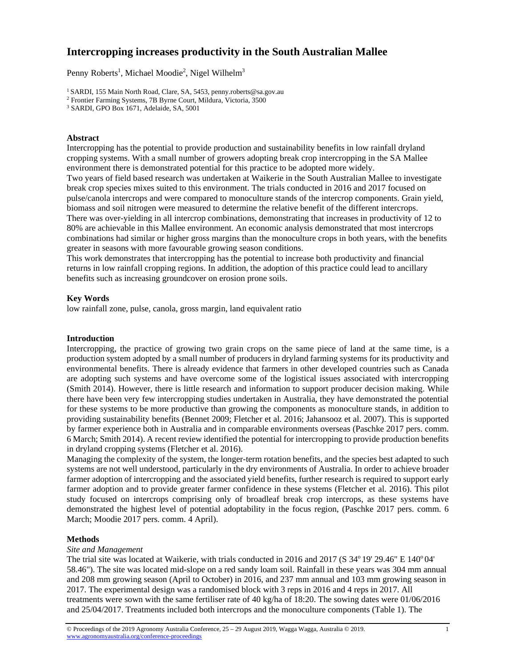# **Intercropping increases productivity in the South Australian Mallee**

Penny Roberts<sup>1</sup>, Michael Moodie<sup>2</sup>, Nigel Wilhelm<sup>3</sup>

3 SARDI, GPO Box 1671, Adelaide, SA, 5001

## **Abstract**

Intercropping has the potential to provide production and sustainability benefits in low rainfall dryland cropping systems. With a small number of growers adopting break crop intercropping in the SA Mallee environment there is demonstrated potential for this practice to be adopted more widely. Two years of field based research was undertaken at Waikerie in the South Australian Mallee to investigate break crop species mixes suited to this environment. The trials conducted in 2016 and 2017 focused on pulse/canola intercrops and were compared to monoculture stands of the intercrop components. Grain yield, biomass and soil nitrogen were measured to determine the relative benefit of the different intercrops. There was over-yielding in all intercrop combinations, demonstrating that increases in productivity of 12 to 80% are achievable in this Mallee environment. An economic analysis demonstrated that most intercrops combinations had similar or higher gross margins than the monoculture crops in both years, with the benefits greater in seasons with more favourable growing season conditions.

This work demonstrates that intercropping has the potential to increase both productivity and financial returns in low rainfall cropping regions. In addition, the adoption of this practice could lead to ancillary benefits such as increasing groundcover on erosion prone soils.

# **Key Words**

low rainfall zone, pulse, canola, gross margin, land equivalent ratio

# **Introduction**

Intercropping, the practice of growing two grain crops on the same piece of land at the same time, is a production system adopted by a small number of producers in dryland farming systems for its productivity and environmental benefits. There is already evidence that farmers in other developed countries such as Canada are adopting such systems and have overcome some of the logistical issues associated with intercropping (Smith 2014). However, there is little research and information to support producer decision making. While there have been very few intercropping studies undertaken in Australia, they have demonstrated the potential for these systems to be more productive than growing the components as monoculture stands, in addition to providing sustainability benefits (Bennet 2009; Fletcher et al. 2016; Jahansooz et al. 2007). This is supported by farmer experience both in Australia and in comparable environments overseas (Paschke 2017 pers. comm. 6 March; Smith 2014). A recent review identified the potential for intercropping to provide production benefits in dryland cropping systems (Fletcher et al. 2016).

Managing the complexity of the system, the longer-term rotation benefits, and the species best adapted to such systems are not well understood, particularly in the dry environments of Australia. In order to achieve broader farmer adoption of intercropping and the associated yield benefits, further research is required to support early farmer adoption and to provide greater farmer confidence in these systems (Fletcher et al. 2016). This pilot study focused on intercrops comprising only of broadleaf break crop intercrops, as these systems have demonstrated the highest level of potential adoptability in the focus region, (Paschke 2017 pers. comm. 6 March; Moodie 2017 pers. comm. 4 April).

# **Methods**

### *Site and Management*

The trial site was located at Waikerie, with trials conducted in 2016 and 2017 (S  $34^{\circ}$  19' 29.46" E 140 $^{\circ}$ 04' 58.46"). The site was located mid-slope on a red sandy loam soil. Rainfall in these years was 304 mm annual and 208 mm growing season (April to October) in 2016, and 237 mm annual and 103 mm growing season in 2017. The experimental design was a randomised block with 3 reps in 2016 and 4 reps in 2017. All treatments were sown with the same fertiliser rate of 40 kg/ha of 18:20. The sowing dates were 01/06/2016 and 25/04/2017. Treatments included both intercrops and the monoculture components (Table 1). The

<sup>&</sup>lt;sup>1</sup> SARDI, 155 Main North Road, Clare, SA, 5453, penny.roberts@sa.gov.au

<sup>2</sup> Frontier Farming Systems, 7B Byrne Court, Mildura, Victoria, 3500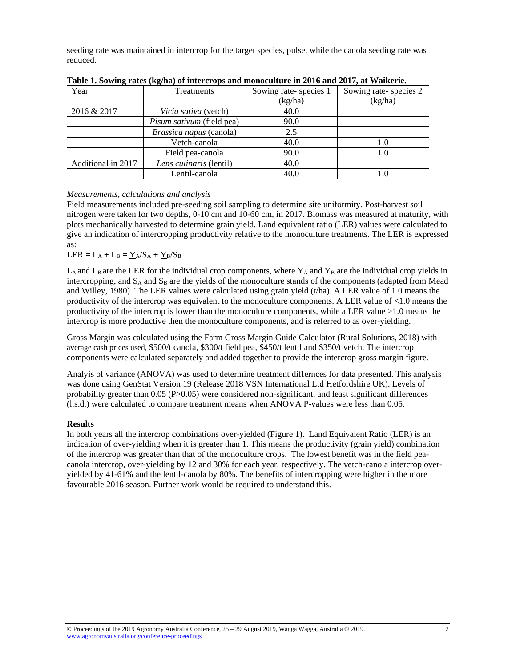seeding rate was maintained in intercrop for the target species, pulse, while the canola seeding rate was reduced.

| Year               | Treatments                       | Sowing rate-species 1 | Sowing rate-species 2 |
|--------------------|----------------------------------|-----------------------|-----------------------|
|                    |                                  | (kg/ha)               | (kg/ha)               |
| 2016 & 2017        | <i>Vicia sativa</i> (vetch)      | 40.0                  |                       |
|                    | <i>Pisum sativum</i> (field pea) | 90.0                  |                       |
|                    | Brassica napus (canola)          | 2.5                   |                       |
|                    | Vetch-canola                     | 40.0                  | 1.0                   |
|                    | Field pea-canola                 | 90.0                  | 1.0                   |
| Additional in 2017 | Lens culinaris (lentil)          | 40.0                  |                       |
|                    | Lentil-canola                    | 40.0                  |                       |

**Table 1. Sowing rates (kg/ha) of intercrops and monoculture in 2016 and 2017, at Waikerie.** 

### *Measurements, calculations and analysis*

Field measurements included pre-seeding soil sampling to determine site uniformity. Post-harvest soil nitrogen were taken for two depths, 0-10 cm and 10-60 cm, in 2017. Biomass was measured at maturity, with plots mechanically harvested to determine grain yield. Land equivalent ratio (LER) values were calculated to give an indication of intercropping productivity relative to the monoculture treatments. The LER is expressed as:

 $LER = L_A + L_B = \underline{Y_A} / S_A + \underline{Y_B} / S_B$ 

 $L_A$  and  $L_B$  are the LER for the individual crop components, where  $Y_A$  and  $Y_B$  are the individual crop yields in intercropping, and  $S_A$  and  $S_B$  are the yields of the monoculture stands of the components (adapted from Mead and Willey, 1980). The LER values were calculated using grain yield (t/ha). A LER value of 1.0 means the productivity of the intercrop was equivalent to the monoculture components. A LER value of  $\leq 1.0$  means the productivity of the intercrop is lower than the monoculture components, while a LER value >1.0 means the intercrop is more productive then the monoculture components, and is referred to as over-yielding.

Gross Margin was calculated using the Farm Gross Margin Guide Calculator (Rural Solutions, 2018) with average cash prices used, \$500/t canola, \$300/t field pea, \$450/t lentil and \$350/t vetch. The intercrop components were calculated separately and added together to provide the intercrop gross margin figure.

Analyis of variance (ANOVA) was used to determine treatment differnces for data presented. This analysis was done using GenStat Version 19 (Release 2018 VSN International Ltd Hetfordshire UK). Levels of probability greater than  $0.05$  (P $>0.05$ ) were considered non-significant, and least significant differences (l.s.d.) were calculated to compare treatment means when ANOVA P-values were less than 0.05.

### **Results**

In both years all the intercrop combinations over-yielded (Figure 1). Land Equivalent Ratio (LER) is an indication of over-yielding when it is greater than 1. This means the productivity (grain yield) combination of the intercrop was greater than that of the monoculture crops. The lowest benefit was in the field peacanola intercrop, over-yielding by 12 and 30% for each year, respectively. The vetch-canola intercrop overyielded by 41-61% and the lentil-canola by 80%. The benefits of intercropping were higher in the more favourable 2016 season. Further work would be required to understand this.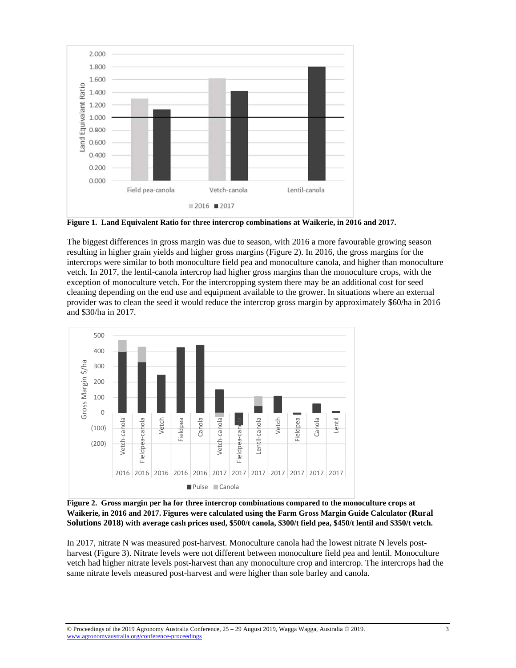

**Figure 1. Land Equivalent Ratio for three intercrop combinations at Waikerie, in 2016 and 2017.** 

The biggest differences in gross margin was due to season, with 2016 a more favourable growing season resulting in higher grain yields and higher gross margins (Figure 2). In 2016, the gross margins for the intercrops were similar to both monoculture field pea and monoculture canola, and higher than monoculture vetch. In 2017, the lentil-canola intercrop had higher gross margins than the monoculture crops, with the exception of monoculture vetch. For the intercropping system there may be an additional cost for seed cleaning depending on the end use and equipment available to the grower. In situations where an external provider was to clean the seed it would reduce the intercrop gross margin by approximately \$60/ha in 2016 and \$30/ha in 2017.



**Figure 2. Gross margin per ha for three intercrop combinations compared to the monoculture crops at Waikerie, in 2016 and 2017. Figures were calculated using the Farm Gross Margin Guide Calculator (Rural Solutions 2018) with average cash prices used, \$500/t canola, \$300/t field pea, \$450/t lentil and \$350/t vetch.** 

In 2017, nitrate N was measured post-harvest. Monoculture canola had the lowest nitrate N levels postharvest (Figure 3). Nitrate levels were not different between monoculture field pea and lentil. Monoculture vetch had higher nitrate levels post-harvest than any monoculture crop and intercrop. The intercrops had the same nitrate levels measured post-harvest and were higher than sole barley and canola.